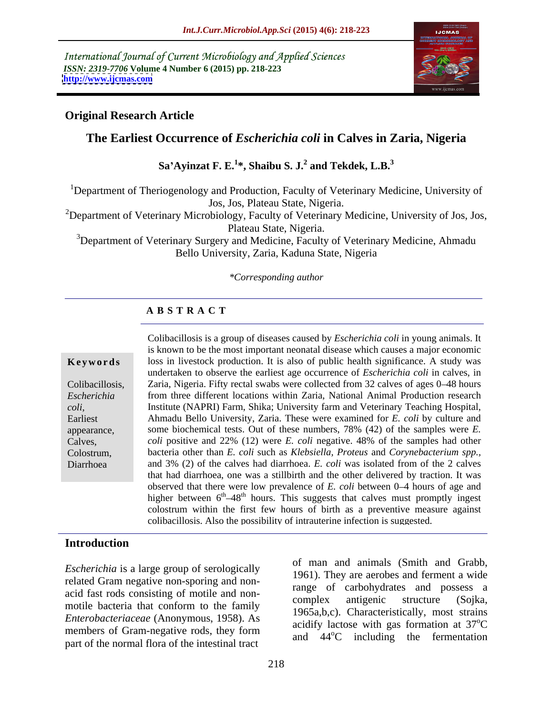International Journal of Current Microbiology and Applied Sciences *ISSN: 2319-7706* **Volume 4 Number 6 (2015) pp. 218-223 <http://www.ijcmas.com>**



### **Original Research Article**

## **The Earliest Occurrence of** *Escherichia coli* **in Calves in Zaria, Nigeria**

**Sa Ayinzat F. E.<sup>1</sup> \*, Shaibu S. J.<sup>2</sup> and Tekdek, L.B.<sup>3</sup>**

<sup>1</sup>Department of Theriogenology and Production, Faculty of Veterinary Medicine, University of Jos, Jos, Plateau State, Nigeria.

<sup>2</sup>Department of Veterinary Microbiology, Faculty of Veterinary Medicine, University of Jos, Jos, Plateau State, Nigeria.

<sup>3</sup>Department of Veterinary Surgery and Medicine, Faculty of Veterinary Medicine, Ahmadu Bello University, Zaria, Kaduna State, Nigeria

### *\*Corresponding author*

### **A B S T R A C T**

Diarrhoea

Colibacillosis is a group of diseases caused by *Escherichia coli* in young animals. It is known to be the most important neonatal disease which causes a major economic **Keywords** loss in livestock production. It is also of public health significance. A study was undertaken to observe the earliest age occurrence of *Escherichia coli* in calves, in Colibacillosis, Zaria, Nigeria. Fifty rectal swabs were collected from 32 calves of ages 0–48 hours from three different locations within Zaria, National Animal Production research *Escherichia*  Institute (NAPRI) Farm, Shika; University farm and Veterinary Teaching Hospital, Ahmadu Bello University, Zaria. These were examined for *E. coli* by culture and *coli*, Earliest some biochemical tests. Out of these numbers, 78% (42) of the samples were *E.*  appearance, *coli* positive and 22% (12) were *E. coli* negative. 48% of the samples had other Calves, bacteria other than *E. coli* such as *Klebsiella, Proteus* and *Corynebacterium spp.,* Colostrum, and 3% (2) of the calves had diarrhoea. *E. coli* was isolated from of the 2 calves that had diarrhoea, one was a stillbirth and the other delivered by traction. It was observed that there were low prevalence of  $E$ . *coli* between  $0-4$  hours of age and higher between  $6<sup>th</sup>-48<sup>th</sup>$  hours. This suggests that calves must promptly ingest colostrum within the first few hours of birth as a preventive measure against colibacillosis. Also the possibility of intrauterine infection is suggested.

### **Introduction**

*Escherichia* is a large group of serologically related Gram negative non-sporing and non acid fast rods consisting of motile and non-<br>complex antigenic structure (Sojka, motile bacteria that conform to the family *Enterobacteriaceae* (Anonymous, 1958). As members of Gram-negative rods, they form part of the normal flora of the intestinal tract

of man and animals (Smith and Grabb, 1961). They are aerobes and ferment a wide range of carbohydrates and possess a complex antigenic structure (Sojka, 1965a,b,c). Characteristically, most strains acidify lactose with gas formation at  $37^{\circ}$ C  $\rm ^{o}C$ and 44<sup>o</sup>C including the fermentation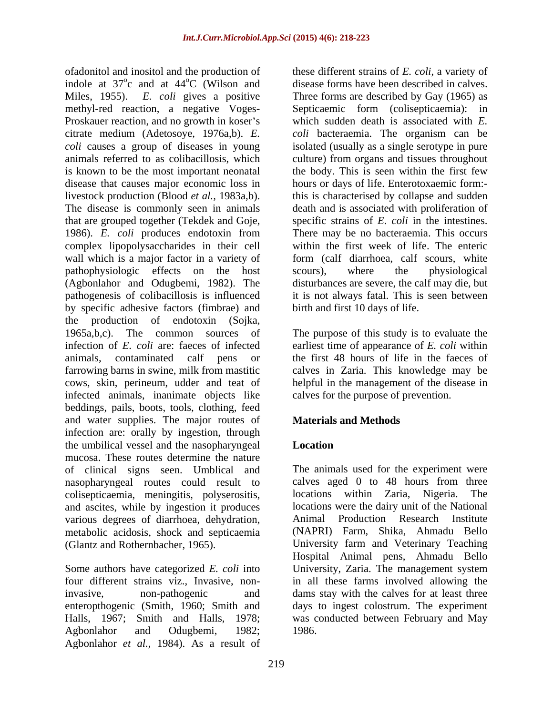ofadonitol and inositol and the production of indole at  $37^{\circ}$ c and at  $44^{\circ}$ C (Wilson and Miles, 1955). *E. coli* gives a positive Three forms are described by Gay (1965) as methyl-red reaction, a negative Voges- Septicaemic form (colisepticaemia): in Proskauer reaction, and no growth in koser's citrate medium (Adetosoye, 1976a,b). *E. coli* bacteraemia. The organism can be *coli* causes a group of diseases in young isolated (usually as a single serotype in pure animals referred to as colibacillosis, which culture) from organs and tissues throughout is known to be the most important neonatal disease that causes major economic loss in hours or days of life. Enterotoxaemic form: livestock production (Blood *et al.*, 1983a,b). This is characterised by collapse and sudden The disease is commonly seen in animals that are grouped together (Tekdek and Goje, specific strains of *E. coli* in the intestines. 1986). *E. coli* produces endotoxin from complex lipopolysaccharides in their cell wall which is a major factor in a variety of pathophysiologic effects on the host scours), where the physiological (Agbonlahor and Odugbemi, 1982). The pathogenesis of colibacillosis is influenced it is not always fatal. This is seen between by specific adhesive factors (fimbrae) and the production of endotoxin (Sojka, 1965a,b,c). The common sources of The purpose of this study is to evaluate the infection of *E. coli* are: faeces of infected earliest time of appearance of *E. coli* within animals, contaminated calf pens or the first 48 hours of life in the faeces of farrowing barns in swine, milk from mastitic cows, skin, perineum, udder and teat of infected animals, inanimate objects like beddings, pails, boots, tools, clothing, feed and water supplies. The major routes of **Materials and Methods** infection are: orally by ingestion, through the umbilical vessel and the nasopharyngeal mucosa. These routes determine the nature of clinical signs seen. Umblical and nasopharyngeal routes could result to colisepticaemia, meningitis, polyserositis, and ascites, while by ingestion it produces locations<br>various degrees of diarrhoea debydration Animal various degrees of diarrhoea, dehydration, metabolic acidosis, shock and septicaemia

Agbonlahor and Odugbemi, 1982; Agbonlahor *et al.,* 1984). As a result of

 $\degree$ c and at 44 $\degree$ C (Wilson and disease forms have been described in calves. these different strains of *E. coli*, a variety of which sudden death is associated with *E.*  the body. This is seen within the first few death and is associated with proliferation of There may be no bacteraemia. This occurs within the first week of life. The enteric form (calf diarrhoea, calf scours, white scours), where the physiological disturbances are severe, the calf may die, but birth and first 10 days of life.

> calves in Zaria. This knowledge may be helpful in the management of the disease in calves for the purpose of prevention.

# **Materials and Methods**

## **Location**

(Glantz and Rothernbacher, 1965). University farm and Veterinary Teaching Some authors have categorized *E. coli* into University, Zaria. The management system four different strains viz., Invasive, non-in all these farms involved allowing the invasive, non-pathogenic and dams stay with the calves for at least three enteropthogenic (Smith, 1960; Smith and days to ingest colostrum.The experiment Halls, 1967; Smith and Halls, 1978; was conducted between February and May The animals used for the experiment were calves aged 0 to 48 hours from three locations within Zaria, Nigeria. locations were the dairy unit of the National Production Research Institute (NAPRI) Farm, Shika, Ahmadu Bello Hospital Animal pens, Ahmadu Bello 1986.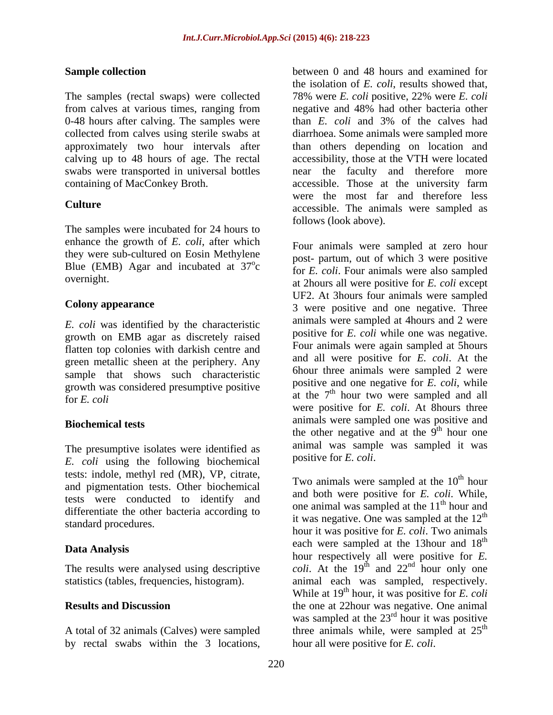0-48 hours after calving. The samples were than  $E$ . coli and  $3\%$  of the calves had containing of MacConkey Broth. **Example 20** accessible. Those at the university farm

The samples were incubated for 24 hours to enhance the growth of *E. coli*, after which they were sub-cultured on Eosin Methylene Blue (EMB) Agar and incubated at  $37^{\circ}$ c

*E. coli* was identified by the characteristic growth on EMB agar as discretely raised flatten top colonies with darkish centre and green metallic sheen at the periphery. Any sample that shows such characteristic growth was considered presumptive positive

The presumptive isolates were identified as  $F_{\text{coll}}$  and  $F_{\text{coll}}$  and  $F_{\text{coll}}$ . *E. coli* using the following biochemical tests: indole, methyl red (MR), VP, citrate,<br>
Two animals were sampled at the  $10<sup>th</sup>$  hour and pigmentation tests. Other biochemical tests were conducted to identify and differentiate the other bacteria according to

A total of 32 animals (Calves) were sampled by rectal swabs within the 3 locations,

**Sample collection** between 0 and 48 hours and examined for The samples (rectal swaps) were collected 78% were *E. coli* positive, 22% were *E. coli* from calves at various times, ranging from negative and 48% had other bacteria other collected from calves using sterile swabs at diarrhoea. Some animals were sampled more approximately two hour intervals after than others depending on location and calving up to 48 hours of age. The rectal accessibility, those at the VTH were located swabs were transported in universal bottles near the faculty and therefore more **Culture** accessible. The animals were sampled as the isolation of *E. coli*, results showed that, than *E. coli* and 3% of the calves had accessible. Those at the university farm were the most far and therefore less follows (look above).

 $\sigma_{\alpha}$  post-partum, out or which s were positive c for *E. coli*. Four animals were also sampled overnight. at 2hours all were positive for *E. coli* except **Colony appearance**<br>
3 were positive and one negative. Three for *E. coli* at the 7 th hour two were sampled and all **Biochemical tests** animals were sampled one was positive and **animals** were sampled one was positive and Four animals were sampled at zero hour post- partum, out of which 3 were positive UF2. At 3hours four animals were sampled animals were sampled at 4hours and 2 were positive for *E. coli* while one was negative. Four animals were again sampled at 5hours and all were positive for *E. coli*. At the 6hour three animals were sampled 2 were positive and one negative for *E. coli*, while were positive for *E. coli*. At 8hours three the other negative and at the  $9<sup>th</sup>$  hour one th hour one animal was sample was sampled it was

standard procedures. Data Analysis each were sampled at the 15hour and 16 and 16 and 16 and 16 and 16 and 16 and 16 and 16 and 16 and 16 and 16 and 16 and 16 and 16 and 16 and 16 and 16 and 16 and 16 and 16 and 16 and 16 and 16 and 16 and 16 a The results were analysed using descriptive  $\qquad \text{coli. At the } 19^{\text{th}}$  and  $22^{\text{nd}}$  hour only one statistics (tables, frequencies, histogram). animal each was sampled, respectively. **Results and Discussion** the one at 22hour was negative. One animal positive for *E. coli.*<br>Two animals were sampled at the 10<sup>th</sup> hour <sup>th</sup> hour and both were positive for *E. coli*. While, one animal was sampled at the 11<sup>th</sup> hour and <sup>th</sup> hour and it was negative. One was sampled at the  $12<sup>th</sup>$ th hour it was positive for *E. coli*. Two animals each were sampled at the 13hour and 18<sup>th</sup> th nd hour only one While at 19<sup>th</sup> hour, it was positive for *E. coli* was sampled at the  $23<sup>rd</sup>$  hour it was positive three animals while, were sampled at  $25<sup>th</sup>$ the contract of the contract of the contract of the contract of the contract of the contract of the contract of the contract of the contract of the contract of the contract of the contract of the contract of the contract o hour all were positive for *E. coli*.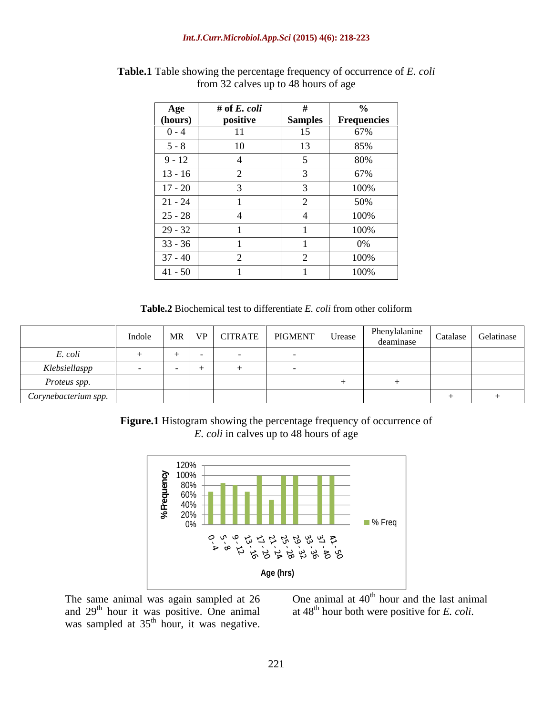| Age                                | # of $E.$ $\> coli$ |                         | $\mathbf{a}$<br>70 |
|------------------------------------|---------------------|-------------------------|--------------------|
| (hours)                            | positive            | <b>Samples</b>          | <b>Frequencies</b> |
| $0 - 4$                            | 11                  | 15                      | 67%                |
| <b>_____________</b><br>$5 - 8$    | 10                  | 13                      | 85%                |
| $9 - 12$                           |                     |                         | 80%                |
| $\frac{13-16}{ }$                  |                     |                         | 67%                |
| $\frac{17 - 20}{ }$                |                     | $\sim$<br>$\mathcal{I}$ | 100%               |
| <b>_____________</b><br>$21 - 24$  |                     |                         | 50%                |
| $\frac{25 - 28}{29 - 32}$          |                     | $\frac{4}{1}$           | 100%               |
|                                    |                     |                         | 100%               |
| $33 - 36$                          |                     |                         | $0\%$              |
| $\frac{1}{37-40}$                  |                     |                         | 100%               |
| <b>______________</b><br>$41 - 50$ |                     |                         | 100%               |

**Table.1** Table showing the percentage frequency of occurrence of *E. coli* from 32 calves up to 48 hours of age

**Table.2** Biochemical test to differentiate *E. coli* from other coliform

|                      | Indole |  | MR   VP   CITRATE   PIGMENT | Phenylalanine Catalase Gelatinase<br>deaminase |  |
|----------------------|--------|--|-----------------------------|------------------------------------------------|--|
| E. coli              |        |  |                             |                                                |  |
| Klebsiellaspp        |        |  |                             |                                                |  |
| Proteus spp.         |        |  |                             |                                                |  |
| Corynebacterium spp. |        |  |                             |                                                |  |

**Figure.1** Histogram showing the percentage frequency of occurrence of *E. coli* in calves up to 48 hours of age



The same animal was again sampled at  $26$  One animal at  $40<sup>th</sup>$  hour and the last animal and  $29<sup>th</sup>$  hour it was positive. One animal at  $48<sup>th</sup>$  hour both were positive for E. coli. The same animal was again sampled at 26 and  $29<sup>th</sup>$  hour it was positive. One animal was sampled at  $35<sup>th</sup>$  hour, it was negative.

was again sampled at 26 One animal at  $40^{\text{th}}$  hour and the last animal as positive. One animal at  $48^{\text{th}}$  hour both were positive for *E*. *coli*.  $\frac{\text{th}}{\text{th}}$  hour, it was negative. at 48th hour both were positive for *E. coli*.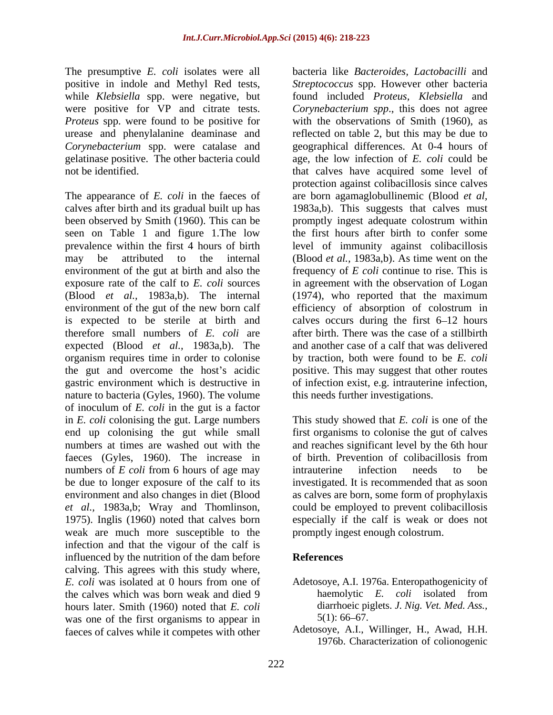The presumptive *E. coli* isolates were all positive in indole and Methyl Red tests, while *Klebsiella* spp. were negative, but were positive for VP and citrate tests. gelatinase positive. The other bacteria could

The appearance of *E. coli* in the faeces of are born agamaglobullinemic (Blood *et al,* calves after birth and its gradual built up has 1983a,b). This suggests that calves must been observed by Smith (1960). This can be promptly ingest adequate colostrum within seen on Table 1 and figure 1.The low prevalence within the first 4 hours of birth level of immunity against colibacillosis may be attributed to the internal (Blood *et al.,* 1983a,b). As time went on the environment of the gut at birth and also the frequency of *E coli* continue to rise. This is exposure rate of the calf to *E. coli* sources in agreement with the observation of Logan (Blood *et al.,* 1983a,b). The internal (1974), who reported that the maximum environment of the gut of the new born calf efficiency of absorption of colostrum in is expected to be sterile at birth and calves occurs during the first 6 12 hours therefore small numbers of *E. coli* are expected (Blood *et al.,* 1983a,b). The organism requires time in order to colonise by traction, both were found to be *E. coli* the gut and overcome the host's acidic positive. This may suggest that other routes gastric environment which is destructive in of infection exist, e.g. intrauterine infection, nature to bacteria (Gyles, 1960). The volume of inoculum of *E. coli* in the gut is a factor in *E. coli* colonising the gut. Large numbers This study showed that *E. coli* is one of the end up colonising the gut while small first organisms to colonise the gut of calves numbers at times are washed out with the and reaches significant level by the 6th hour faeces (Gyles, 1960). The increase in of birth. Prevention of colibacillosis from numbers of *E coli* from 6 hours of age may intrauterine infection needs to be be due to longer exposure of the calf to its investigated. It is recommended that as soon environment and also changes in diet (Blood as calves are born, some form of prophylaxis *et al.,* 1983a,b; Wray and Thomlinson, 1975). Inglis (1960) noted that calves born weak are much more susceptible to the infection and that the vigour of the calf is influenced by the nutrition of the dam before References calving. This agrees with this study where, *E. coli* was isolated at 0 hours from one of the calves which was born weak and died 9 haemolytic E. coli isolated from hours later. Smith (1960) noted that *E. coli* diarrhoeic pig<br>was one of the first organisms to annear in 5(1): 66–67. was one of the first organisms to appear in faeces of calves while it competes with other

*Proteus* spp. were found to be positive for with the observations of Smith (1960), as urease and phenylalanine deaminase and reflected on table 2, but this may be due to *Corynebacterium* spp. were catalase and geographical differences. At 0-4 hours of not be identified. that calves have acquired some level of bacteria like *Bacteroides, Lactobacilli* and *Streptococcus* spp. However other bacteria found included *Proteus, Klebsiella* and *Corynebacterium spp*., this does not agree age, the low infection of *E. coli* could be protection against colibacillosis since calves the first hours after birth to confer some after birth. There was the case of a stillbirth and another case of a calf that was delivered this needs further investigations.

> of birth. Prevention of colibacillosis from intrauterine infection needs to be could be employed to prevent colibacillosis especially if the calf is weak or does not promptly ingest enough colostrum.

## **References**

- Adetosoye, A.I. 1976a. Enteropathogenicity of haemolytic *E. coli* isolated from diarrhoeic piglets. *J. Nig. Vet. Med. Ass.,*  $5(1)$ : 66–67.
- Adetosoye, A.I., Willinger, H., Awad, H.H. 1976b. Characterization of colionogenic